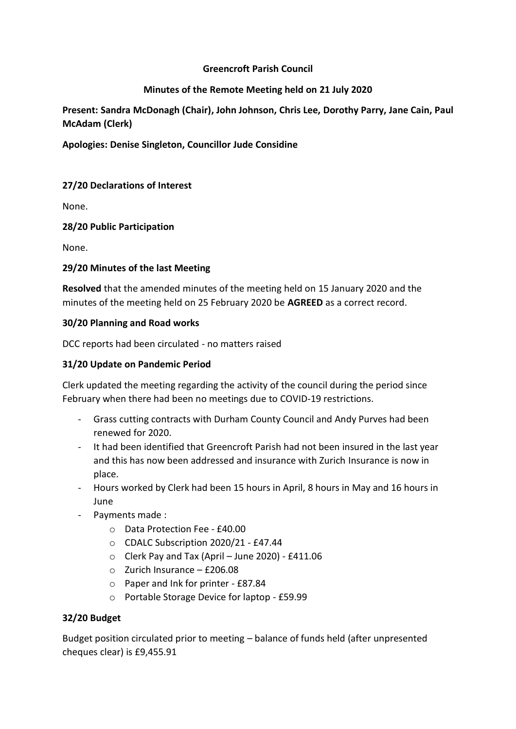# **Greencroft Parish Council**

# **Minutes of the Remote Meeting held on 21 July 2020**

**Present: Sandra McDonagh (Chair), John Johnson, Chris Lee, Dorothy Parry, Jane Cain, Paul McAdam (Clerk)**

# **Apologies: Denise Singleton, Councillor Jude Considine**

# **27/20 Declarations of Interest**

None.

# **28/20 Public Participation**

None.

# **29/20 Minutes of the last Meeting**

**Resolved** that the amended minutes of the meeting held on 15 January 2020 and the minutes of the meeting held on 25 February 2020 be **AGREED** as a correct record.

### **30/20 Planning and Road works**

DCC reports had been circulated - no matters raised

# **31/20 Update on Pandemic Period**

Clerk updated the meeting regarding the activity of the council during the period since February when there had been no meetings due to COVID-19 restrictions.

- Grass cutting contracts with Durham County Council and Andy Purves had been renewed for 2020.
- It had been identified that Greencroft Parish had not been insured in the last year and this has now been addressed and insurance with Zurich Insurance is now in place.
- Hours worked by Clerk had been 15 hours in April, 8 hours in May and 16 hours in June
- Payments made :
	- o Data Protection Fee £40.00
	- o CDALC Subscription 2020/21 £47.44
	- $\circ$  Clerk Pay and Tax (April June 2020) £411.06
	- o Zurich Insurance £206.08
	- o Paper and Ink for printer £87.84
	- o Portable Storage Device for laptop £59.99

# **32/20 Budget**

Budget position circulated prior to meeting – balance of funds held (after unpresented cheques clear) is £9,455.91